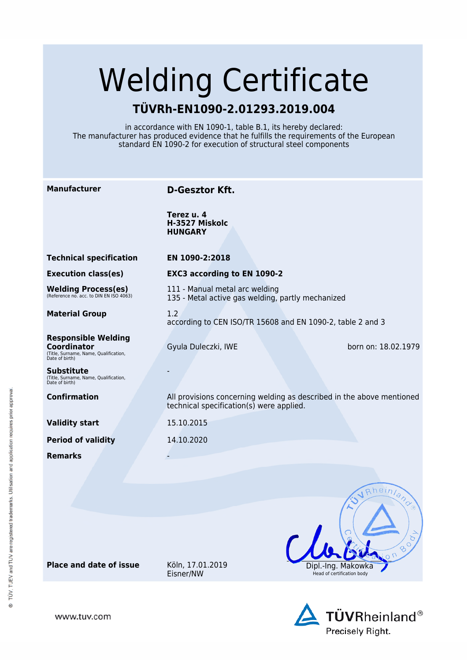# Welding Certificate

## **TÜVRh-EN1090-2.01293.2019.004**

in accordance with EN 1090-1, table B.1, its hereby declared: The manufacturer has produced evidence that he fulfills the requirements of the European standard EN 1090-2 for execution of structural steel components

| <b>Manufacturer</b>                                                                                  | <b>D-Gesztor Kft.</b>                                                                                             |                                                |
|------------------------------------------------------------------------------------------------------|-------------------------------------------------------------------------------------------------------------------|------------------------------------------------|
|                                                                                                      | Terez u. 4<br>H-3527 Miskolc<br><b>HUNGARY</b>                                                                    |                                                |
| <b>Technical specification</b>                                                                       | EN 1090-2:2018                                                                                                    |                                                |
| <b>Execution class(es)</b>                                                                           | <b>EXC3 according to EN 1090-2</b>                                                                                |                                                |
| Welding Process(es)<br>(Reference no. acc. to DIN EN ISO 4063)                                       | 111 - Manual metal arc welding<br>135 - Metal active gas welding, partly mechanized                               |                                                |
| <b>Material Group</b>                                                                                | 1.2<br>according to CEN ISO/TR 15608 and EN 1090-2, table 2 and 3                                                 |                                                |
| <b>Responsible Welding</b><br>Coordinator<br>(Title, Surname, Name, Qualification,<br>Date of birth) | Gyula Duleczki, IWE                                                                                               | born on: 18.02.1979                            |
| Substitute<br>(Title, Surname, Name, Qualification,<br>Date of birth)                                |                                                                                                                   |                                                |
| <b>Confirmation</b>                                                                                  | All provisions concerning welding as described in the above mentioned<br>technical specification(s) were applied. |                                                |
| <b>Validity start</b>                                                                                | 15.10.2015                                                                                                        |                                                |
| <b>Period of validity</b>                                                                            | 14.10.2020                                                                                                        |                                                |
| <b>Remarks</b>                                                                                       |                                                                                                                   |                                                |
|                                                                                                      |                                                                                                                   |                                                |
|                                                                                                      |                                                                                                                   | Rheinland                                      |
|                                                                                                      |                                                                                                                   |                                                |
|                                                                                                      |                                                                                                                   | ত<br>$\circ$<br>℅                              |
| <b>Place and date of issue</b>                                                                       | Köln, 17.01.2019<br>Eisner/NW                                                                                     | Dipi.-Ing. Makow<br>Head of certification body |



www.tuv.com